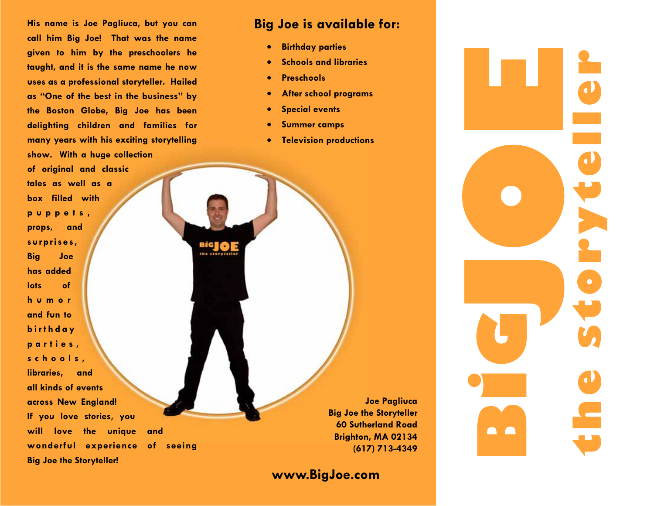**His name is Joe Pagliuca, but you can call him Big Joe! That was the name given to him by the preschoolers he taught, and it is the same name he now uses as a professional storyteller. Hailed as "One of the best in the business" by the Boston Globe, Big Joe has been delighting children and families for many years with his exciting storytelling show. With a huge collection** 

**of original and classic tales as well as a box filled with p <sup>u</sup> p p <sup>e</sup> t <sup>s</sup> , props, and surprises, Big Joe has added lots of h <sup>u</sup> <sup>m</sup> <sup>o</sup> <sup>r</sup>and fun to b i <sup>r</sup> <sup>t</sup> h d <sup>a</sup> y p <sup>a</sup> <sup>r</sup> <sup>t</sup> i <sup>e</sup> <sup>s</sup> , <sup>s</sup> <sup>c</sup> h <sup>o</sup> <sup>o</sup> l <sup>s</sup> , libraries, and all kinds of events across New England! If you love stories, you will love the unique and wonderful experience of seeing Big Joe the Storyteller!** 

## **Big Joe is available for:**

- **Birthday parties**
- **Schools and libraries**
- **Preschools**
- **After school programs**
- **Special events**
- **Summer camps**

BiG the Horyth • **Television productions** 

**Joe Pagliuca Big Joe the Storyteller 60 Sutherland Road Brighton, MA 02134 (617) 713-4349** 

**www.BigJoe.com** 

**Bthe storyteller G**